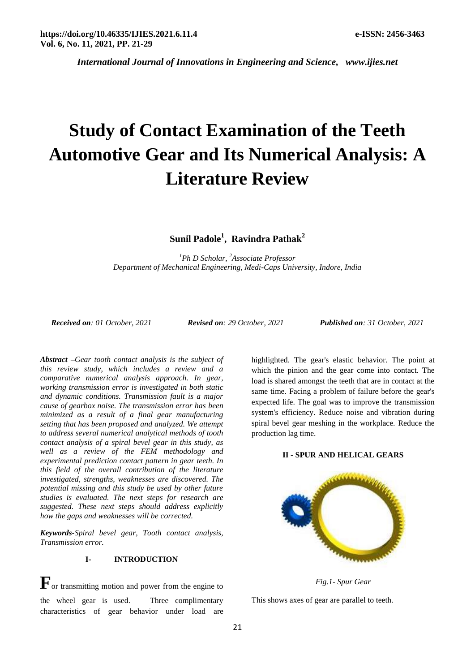# **Study of Contact Examination of the Teeth Automotive Gear and Its Numerical Analysis: A Literature Review**

**Sunil Padole<sup>1</sup> , Ravindra Pathak<sup>2</sup>**

*<sup>1</sup>Ph D Scholar, <sup>2</sup>Associate Professor Department of Mechanical Engineering, Medi-Caps University, Indore, India*

*Received on: 01 October, 2021 Revised on: 29 October, 2021 Published on: 31 October, 2021*

*Abstract –Gear tooth contact analysis is the subject of this review study, which includes a review and a comparative numerical analysis approach. In gear, working transmission error is investigated in both static and dynamic conditions. Transmission fault is a major cause of gearbox noise. The transmission error has been minimized as a result of a final gear manufacturing setting that has been proposed and analyzed. We attempt to address several numerical analytical methods of tooth contact analysis of a spiral bevel gear in this study, as well as a review of the FEM methodology and experimental prediction contact pattern in gear teeth. In this field of the overall contribution of the literature investigated, strengths, weaknesses are discovered. The potential missing and this study be used by other future studies is evaluated. The next steps for research are suggested. These next steps should address explicitly how the gaps and weaknesses will be corrected.*

*Keywords-Spiral bevel gear, Tooth contact analysis, Transmission error.*

### **I- INTRODUCTION**

 $\mathbf{F}_{\text{or}$  transmitting motion and power from the engine to the wheel gear is used. Three complimentary characteristics of gear behavior under load are

highlighted. The gear's elastic behavior. The point at which the pinion and the gear come into contact. The load is shared amongst the teeth that are in contact at the same time. Facing a problem of failure before the gear's expected life. The goal was to improve the transmission system's efficiency. Reduce noise and vibration during spiral bevel gear meshing in the workplace. Reduce the production lag time.

#### **II - SPUR AND HELICAL GEARS**



*Fig.1- Spur Gear*

This shows axes of gear are parallel to teeth.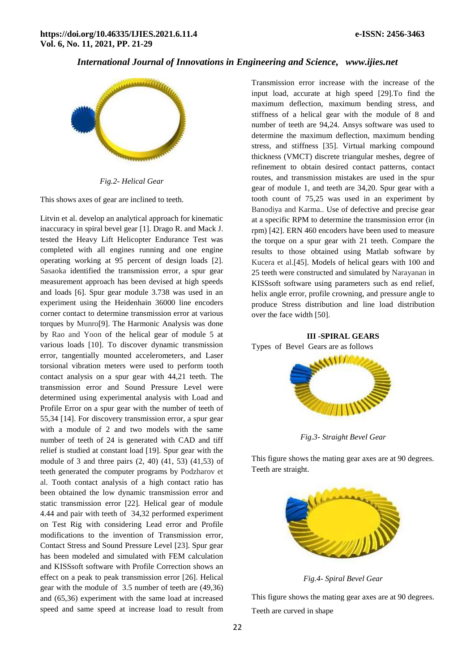

*Fig.2- Helical Gear*

This shows axes of gear are inclined to teeth.

Litvin et al. develop an analytical approach for kinematic inaccuracy in spiral bevel gear [1]. Drago R. and Mack J. tested the Heavy Lift Helicopter Endurance Test was completed with all engines running and one engine operating working at 95 percent of design loads [2]. Sasaoka identified the transmission error, a spur gear measurement approach has been devised at high speeds and loads [6]. Spur gear module 3.738 was used in an experiment using the Heidenhain 36000 line encoders corner contact to determine transmission error at various torques by Munro[9]. The Harmonic Analysis was done by Rao and Yoon of the helical gear of module 5 at various loads [10]. To discover dynamic transmission error, tangentially mounted accelerometers, and Laser torsional vibration meters were used to perform tooth contact analysis on a spur gear with 44,21 teeth. The transmission error and Sound Pressure Level were determined using experimental analysis with Load and Profile Error on a spur gear with the number of teeth of 55,34 [14]. For discovery transmission error, a spur gear with a module of 2 and two models with the same number of teeth of 24 is generated with CAD and tiff relief is studied at constant load [19]. Spur gear with the module of 3 and three pairs (2, 40) (41, 53) (41,53) of teeth generated the computer programs by Podzharov et al. Tooth contact analysis of a high contact ratio has been obtained the low dynamic transmission error and static transmission error [22]. Helical gear of module 4.44 and pair with teeth of 34,32 performed experiment on Test Rig with considering Lead error and Profile modifications to the invention of Transmission error, Contact Stress and Sound Pressure Level [23]. Spur gear has been modeled and simulated with FEM calculation and KISSsoft software with Profile Correction shows an effect on a peak to peak transmission error [26]. Helical gear with the module of 3.5 number of teeth are (49,36) and (65,36) experiment with the same load at increased speed and same speed at increase load to result from

Transmission error increase with the increase of the input load, accurate at high speed [29].To find the maximum deflection, maximum bending stress, and stiffness of a helical gear with the module of 8 and number of teeth are 94,24. Ansys software was used to determine the maximum deflection, maximum bending stress, and stiffness [35]. Virtual marking compound thickness (VMCT) discrete triangular meshes, degree of refinement to obtain desired contact patterns, contact routes, and transmission mistakes are used in the spur gear of module 1, and teeth are 34,20. Spur gear with a tooth count of 75,25 was used in an experiment by Banodiya and Karma*..* Use of defective and precise gear at a specific RPM to determine the transmission error (in rpm) [42]. ERN 460 encoders have been used to measure the torque on a spur gear with 21 teeth. Compare the results to those obtained using Matlab software by Kucera et al.[45]. Models of helical gears with 100 and 25 teeth were constructed and simulated by Narayanan in KISSsoft software using parameters such as end relief, helix angle error, profile crowning, and pressure angle to produce Stress distribution and line load distribution over the face width [50].

## **III -SPIRAL GEARS**

Types of Bevel Gears are as follows



*Fig.3- Straight Bevel Gear*

This figure shows the mating gear axes are at 90 degrees. Teeth are straight.



*Fig.4- Spiral Bevel Gear*

This figure shows the mating gear axes are at 90 degrees. Teeth are curved in shape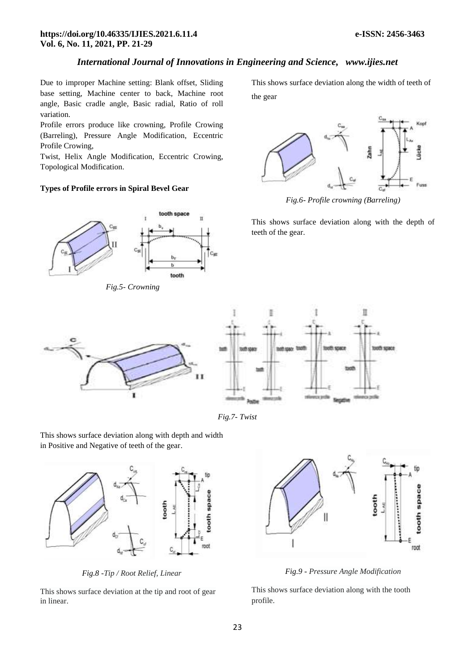## **https://doi.org/10.46335/IJIES.2021.6.11.4 e-ISSN: 2456-3463 Vol. 6, No. 11, 2021, PP. 21-29**

## *International Journal of Innovations in Engineering and Science, www.ijies.net*

Due to improper Machine setting: Blank offset, Sliding base setting, Machine center to back, Machine root angle, Basic cradle angle, Basic radial, Ratio of roll variation.

Profile errors produce like crowning, Profile Crowing (Barreling), Pressure Angle Modification, Eccentric Profile Crowing,

Twist, Helix Angle Modification, Eccentric Crowing, Topological Modification.

## **Types of Profile errors in Spiral Bevel Gear**



*Fig.5- Crowning*

This shows surface deviation along the width of teeth of the gear



*Fig.6- Profile crowning (Barreling)*

This shows surface deviation along with the depth of teeth of the gear.



*Fig.7- Twist*

This shows surface deviation along with depth and width in Positive and Negative of teeth of the gear.



*Fig.8 -Tip / Root Relief, Linear*

This shows surface deviation at the tip and root of gear in linear.



*Fig.9 - Pressure Angle Modification*

This shows surface deviation along with the tooth profile.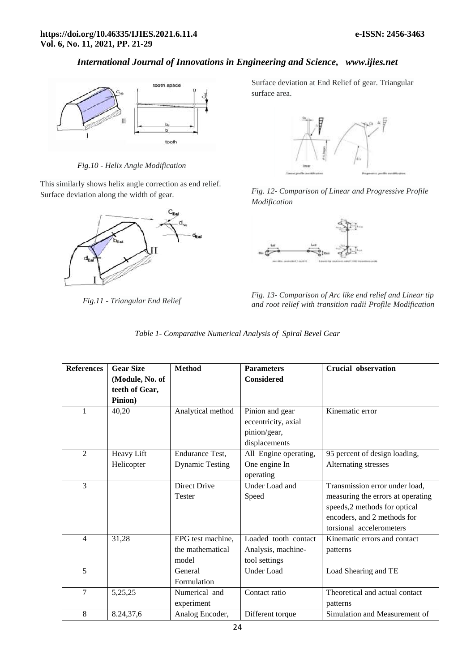

*Fig.10 - Helix Angle Modification*

This similarly shows helix angle correction as end relief. Surface deviation along the width of gear.



*Fig.11 - Triangular End Relief*

Surface deviation at End Relief of gear. Triangular surface area.



*Fig. 12- Comparison of Linear and Progressive Profile Modification*



*Fig. 13- Comparison of Arc like end relief and Linear tip and root relief with transition radii Profile Modification*

|  | Table 1- Comparative Numerical Analysis of Spiral Bevel Gear |  |  |  |
|--|--------------------------------------------------------------|--|--|--|
|  |                                                              |  |  |  |

| <b>References</b> | <b>Gear Size</b> | <b>Method</b>          | <b>Parameters</b>     | <b>Crucial observation</b>        |
|-------------------|------------------|------------------------|-----------------------|-----------------------------------|
|                   | (Module, No. of  |                        | <b>Considered</b>     |                                   |
|                   | teeth of Gear,   |                        |                       |                                   |
|                   | Pinion)          |                        |                       |                                   |
| 1                 | 40,20            | Analytical method      | Pinion and gear       | Kinematic error                   |
|                   |                  |                        | eccentricity, axial   |                                   |
|                   |                  |                        | pinion/gear,          |                                   |
|                   |                  |                        | displacements         |                                   |
| 2                 | Heavy Lift       | <b>Endurance Test,</b> | All Engine operating, | 95 percent of design loading,     |
|                   | Helicopter       | <b>Dynamic Testing</b> | One engine In         | Alternating stresses              |
|                   |                  |                        | operating             |                                   |
| 3                 |                  | <b>Direct Drive</b>    | Under Load and        | Transmission error under load,    |
|                   |                  | Tester                 | Speed                 | measuring the errors at operating |
|                   |                  |                        |                       | speeds,2 methods for optical      |
|                   |                  |                        |                       | encoders, and 2 methods for       |
|                   |                  |                        |                       | torsional accelerometers          |
| $\overline{4}$    | 31,28            | EPG test machine,      | Loaded tooth contact  | Kinematic errors and contact      |
|                   |                  | the mathematical       | Analysis, machine-    | patterns                          |
|                   |                  | model                  | tool settings         |                                   |
| 5                 |                  | General                | <b>Under Load</b>     | Load Shearing and TE              |
|                   |                  | Formulation            |                       |                                   |
| 7                 | 5,25,25          | Numerical and          | Contact ratio         | Theoretical and actual contact    |
|                   |                  | experiment             |                       | patterns                          |
| 8                 | 8.24,37,6        | Analog Encoder,        | Different torque      | Simulation and Measurement of     |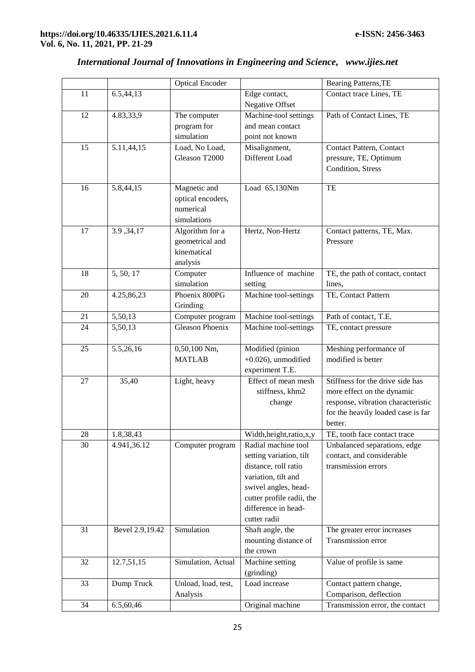|          |                 | <b>Optical Encoder</b> |                                                   | Bearing Patterns, TE                                      |
|----------|-----------------|------------------------|---------------------------------------------------|-----------------------------------------------------------|
| 11       | 6.5,44,13       |                        | Edge contact,                                     | Contact trace Lines, TE                                   |
|          |                 |                        | Negative Offset                                   |                                                           |
| 12       | 4.83,33,9       | The computer           | Machine-tool settings                             | Path of Contact Lines, TE                                 |
|          |                 | program for            | and mean contact                                  |                                                           |
|          |                 | simulation             | point not known                                   |                                                           |
| 15       | 5.11,44,15      | Load, No Load,         | Misalignment,                                     | Contact Pattern, Contact                                  |
|          |                 | Gleason T2000          | Different Load                                    | pressure, TE, Optimum                                     |
|          |                 |                        |                                                   | Condition, Stress                                         |
|          |                 |                        |                                                   |                                                           |
| 16       | 5.8,44,15       | Magnetic and           | Load 65,130Nm                                     | TE                                                        |
|          |                 | optical encoders,      |                                                   |                                                           |
|          |                 | numerical              |                                                   |                                                           |
|          |                 | simulations            |                                                   |                                                           |
| 17       | 3.9, 34, 17     | Algorithm for a        | Hertz, Non-Hertz                                  | Contact patterns, TE, Max.                                |
|          |                 | geometrical and        |                                                   | Pressure                                                  |
|          |                 | kinematical            |                                                   |                                                           |
|          |                 | analysis               |                                                   |                                                           |
| 18       | 5, 50, 17       | Computer               | Influence of machine                              | TE, the path of contact, contact                          |
|          |                 | simulation             | setting                                           | lines,                                                    |
| 20       | 4.25,86,23      | Phoenix 800PG          | Machine tool-settings                             | TE, Contact Pattern                                       |
|          |                 | Grinding               |                                                   |                                                           |
| 21       | 5,50,13         | Computer program       | Machine tool-settings                             | Path of contact, T.E.                                     |
| 24       | 5,50,13         | <b>Gleason Phoenix</b> | Machine tool-settings                             | TE, contact pressure                                      |
| 25       | 5.5,26,16       | 0,50,100 Nm,           | Modified (pinion                                  | Meshing performance of                                    |
|          |                 | <b>MATLAB</b>          | $+0.026$ ), unmodified                            | modified is better                                        |
|          |                 |                        | experiment T.E.                                   |                                                           |
| 27       | 35,40           | Light, heavy           | Effect of mean mesh                               | Stiffness for the drive side has                          |
|          |                 |                        | stiffness, khm2                                   | more effect on the dynamic                                |
|          |                 |                        | change                                            | response, vibration characteristic                        |
|          |                 |                        |                                                   |                                                           |
|          |                 |                        |                                                   |                                                           |
|          |                 |                        |                                                   | for the heavily loaded case is far<br>better.             |
|          |                 |                        |                                                   |                                                           |
| 28<br>30 | 1.8,38,43       |                        | Width, height, ratio, x, y<br>Radial machine tool | TE, tooth face contact trace                              |
|          | 4.941,36.12     | Computer program       |                                                   | Unbalanced separations, edge<br>contact, and considerable |
|          |                 |                        | setting variation, tilt                           | transmission errors                                       |
|          |                 |                        | distance, roll ratio<br>variation, tilt and       |                                                           |
|          |                 |                        |                                                   |                                                           |
|          |                 |                        | swivel angles, head-<br>cutter profile radii, the |                                                           |
|          |                 |                        | difference in head-                               |                                                           |
|          |                 |                        | cutter radii                                      |                                                           |
| 31       | Bevel 2.9,19.42 | Simulation             | Shaft angle, the                                  | The greater error increases                               |
|          |                 |                        | mounting distance of                              | Transmission error                                        |
|          |                 |                        | the crown                                         |                                                           |
| 32       | 12.7,51,15      | Simulation, Actual     | Machine setting                                   | Value of profile is same                                  |
|          |                 |                        | (grinding)                                        |                                                           |
| 33       | Dump Truck      | Unload, load, test,    | Load increase                                     | Contact pattern change,                                   |
|          |                 | Analysis               |                                                   | Comparison, deflection                                    |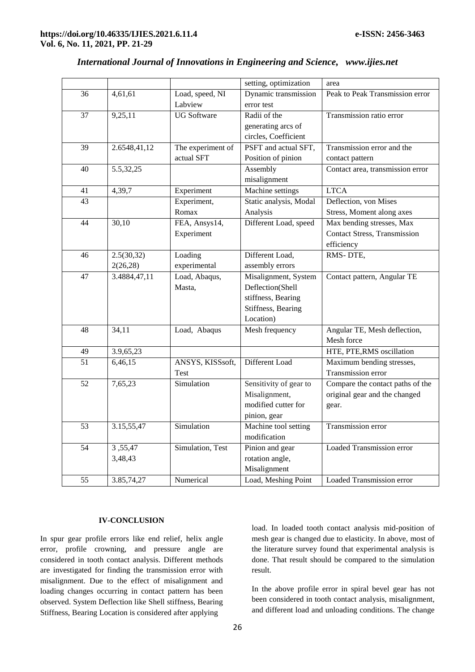|    |              |                    | setting, optimization  | area                                |
|----|--------------|--------------------|------------------------|-------------------------------------|
| 36 | 4,61,61      | Load, speed, NI    | Dynamic transmission   | Peak to Peak Transmission error     |
|    |              | Labview            | error test             |                                     |
| 37 | 9,25,11      | <b>UG</b> Software | Radii of the           | Transmission ratio error            |
|    |              |                    | generating arcs of     |                                     |
|    |              |                    | circles, Coefficient   |                                     |
| 39 | 2.6548,41,12 | The experiment of  | PSFT and actual SFT,   | Transmission error and the          |
|    |              | actual SFT         | Position of pinion     | contact pattern                     |
| 40 | 5.5,32,25    |                    | Assembly               | Contact area, transmission error    |
|    |              |                    | misalignment           |                                     |
| 41 | 4,39,7       | Experiment         | Machine settings       | <b>LTCA</b>                         |
| 43 |              | Experiment,        | Static analysis, Modal | Deflection, von Mises               |
|    |              | Romax              | Analysis               | Stress, Moment along axes           |
| 44 | 30,10        | FEA, Ansys14,      | Different Load, speed  | Max bending stresses, Max           |
|    |              | Experiment         |                        | <b>Contact Stress, Transmission</b> |
|    |              |                    |                        | efficiency                          |
| 46 | 2.5(30,32)   | Loading            | Different Load,        | RMS-DTE,                            |
|    | 2(26, 28)    | experimental       | assembly errors        |                                     |
| 47 | 3.4884,47,11 | Load, Abaqus,      | Misalignment, System   | Contact pattern, Angular TE         |
|    |              | Masta,             | Deflection(Shell       |                                     |
|    |              |                    | stiffness, Bearing     |                                     |
|    |              |                    | Stiffness, Bearing     |                                     |
|    |              |                    | Location)              |                                     |
| 48 | 34,11        | Load, Abaqus       | Mesh frequency         | Angular TE, Mesh deflection,        |
|    |              |                    |                        | Mesh force                          |
| 49 | 3.9, 65, 23  |                    |                        | HTE, PTE, RMS oscillation           |
| 51 | 6,46,15      | ANSYS, KISSsoft,   | Different Load         | Maximum bending stresses,           |
|    |              | Test               |                        | Transmission error                  |
| 52 | 7,65,23      | Simulation         | Sensitivity of gear to | Compare the contact paths of the    |
|    |              |                    | Misalignment,          | original gear and the changed       |
|    |              |                    | modified cutter for    | gear.                               |
|    |              |                    | pinion, gear           |                                     |
| 53 | 3.15,55,47   | Simulation         | Machine tool setting   | Transmission error                  |
|    |              |                    | modification           |                                     |
| 54 | 3,55,47      | Simulation, Test   | Pinion and gear        | Loaded Transmission error           |
|    | 3,48,43      |                    | rotation angle,        |                                     |
|    |              |                    | Misalignment           |                                     |
| 55 | 3.85,74,27   | Numerical          | Load, Meshing Point    | Loaded Transmission error           |

## **IV-CONCLUSION**

In spur gear profile errors like end relief, helix angle error, profile crowning, and pressure angle are considered in tooth contact analysis. Different methods are investigated for finding the transmission error with misalignment. Due to the effect of misalignment and loading changes occurring in contact pattern has been observed. System Deflection like Shell stiffness, Bearing Stiffness, Bearing Location is considered after applying

load. In loaded tooth contact analysis mid-position of mesh gear is changed due to elasticity. In above, most of the literature survey found that experimental analysis is done. That result should be compared to the simulation result.

In the above profile error in spiral bevel gear has not been considered in tooth contact analysis, misalignment, and different load and unloading conditions. The change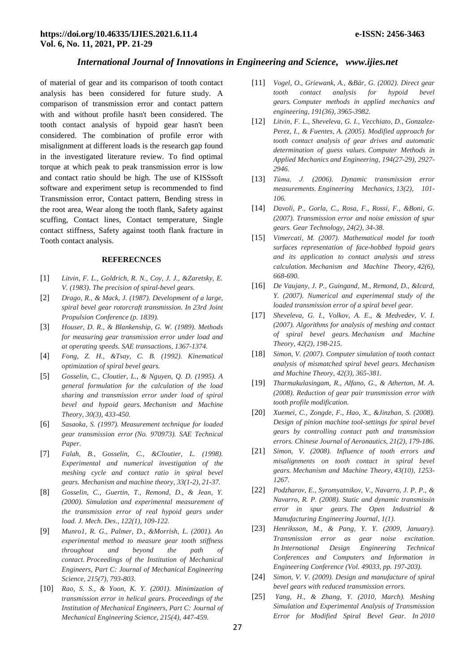of material of gear and its comparison of tooth contact analysis has been considered for future study. A comparison of transmission error and contact pattern with and without profile hasn't been considered. The tooth contact analysis of hypoid gear hasn't been considered. The combination of profile error with misalignment at different loads is the research gap found in the investigated literature review. To find optimal torque at which peak to peak transmission error is low and contact ratio should be high. The use of KISSsoft software and experiment setup is recommended to find Transmission error, Contact pattern, Bending stress in the root area, Wear along the tooth flank, Safety against scuffing, Contact lines, Contact temperature, Single contact stiffness, Safety against tooth flank fracture in Tooth contact analysis.

#### **REFERECNCES**

- [1] *Litvin, F. L., Goldrich, R. N., Coy, J. J., &Zaretsky, E. V. (1983). The precision of spiral-bevel gears.*
- [2] *Drago, R., & Mack, J. (1987). Development of a large, spiral bevel gear rotorcraft transmission. In 23rd Joint Propulsion Conference (p. 1839).*
- [3] *Houser, D. R., & Blankenship, G. W. (1989). Methods for measuring gear transmission error under load and at operating speeds. SAE transactions, 1367-1374.*
- [4] *Fong, Z. H., &Tsay, C. B. (1992). Kinematical optimization of spiral bevel gears.*
- [5] *Gosselin, C., Cloutier, L., & Nguyen, Q. D. (1995). A general formulation for the calculation of the load sharing and transmission error under load of spiral bevel and hypoid gears. Mechanism and Machine Theory, 30(3), 433-450.*
- [6] *Sasaoka, S. (1997). Measurement technique for loaded gear transmission error (No. 970973). SAE Technical Paper.*
- [7] *Falah, B., Gosselin, C., &Cloutier, L. (1998). Experimental and numerical investigation of the meshing cycle and contact ratio in spiral bevel gears. Mechanism and machine theory, 33(1-2), 21-37.*
- [8] *Gosselin, C., Guertin, T., Remond, D., & Jean, Y. (2000). Simulation and experimental measurement of the transmission error of real hypoid gears under load. J. Mech. Des., 122(1), 109-122.*
- [9] *Munro1, R. G., Palmer, D., &Morrish, L. (2001). An experimental method to measure gear tooth stiffness throughout and beyond the path of contact. Proceedings of the Institution of Mechanical Engineers, Part C: Journal of Mechanical Engineering Science, 215(7), 793-803.*
- [10] *Rao, S. S., & Yoon, K. Y. (2001). Minimization of transmission error in helical gears. Proceedings of the Institution of Mechanical Engineers, Part C: Journal of Mechanical Engineering Science, 215(4), 447-459.*
- [11] *Vogel, O., Griewank, A., &Bär, G. (2002). Direct gear tooth contact analysis for hypoid bevel gears. Computer methods in applied mechanics and engineering, 191(36), 3965-3982.*
- [12] *Litvin, F. L., Sheveleva, G. I., Vecchiato, D., Gonzalez-Perez, I., & Fuentes, A. (2005). Modified approach for tooth contact analysis of gear drives and automatic determination of guess values. Computer Methods in Applied Mechanics and Engineering, 194(27-29), 2927- 2946.*
- [13] *Tůma, J. (2006). Dynamic transmission error measurements. Engineering Mechanics, 13(2), 101- 106.*
- [14] *Davoli, P., Gorla, C., Rosa, F., Rossi, F., &Boni, G. (2007). Transmission error and noise emission of spur gears. Gear Technology, 24(2), 34-38.*
- [15] *Vimercati, M. (2007). Mathematical model for tooth surfaces representation of face-hobbed hypoid gears and its application to contact analysis and stress calculation. Mechanism and Machine Theory, 42(6), 668-690.*
- [16] *De Vaujany, J. P., Guingand, M., Remond, D., &Icard, Y. (2007). Numerical and experimental study of the loaded transmission error of a spiral bevel gear.*
- [17] *Sheveleva, G. I., Volkov, A. E., & Medvedev, V. I. (2007). Algorithms for analysis of meshing and contact of spiral bevel gears. Mechanism and Machine Theory, 42(2), 198-215.*
- [18] *Simon, V. (2007). Computer simulation of tooth contact analysis of mismatched spiral bevel gears. Mechanism and Machine Theory, 42(3), 365-381.*
- [19] *Tharmakulasingam, R., Alfano, G., & Atherton, M. A. (2008). Reduction of gear pair transmission error with tooth profile modification.*
- [20] *Xuemei, C., Zongde, F., Hao, X., &Jinzhan, S. (2008). Design of pinion machine tool-settings for spiral bevel gears by controlling contact path and transmission errors. Chinese Journal of Aeronautics, 21(2), 179-186.*
- [21] *Simon, V. (2008). Influence of tooth errors and misalignments on tooth contact in spiral bevel gears. Mechanism and Machine Theory, 43(10), 1253- 1267.*
- [22] *Podzharov, E., Syromyatnikov, V., Navarro, J. P. P., & Navarro, R. P. (2008). Static and dynamic transmissin error in spur gears. The Open Industrial & Manufacturing Engineering Journal, 1(1).*
- [23] *Henriksson, M., & Pang, Y. Y. (2009, January). Transmission error as gear noise excitation. In International Design Engineering Technical Conferences and Computers and Information in Engineering Conference (Vol. 49033, pp. 197-203).*
- [24] *Simon, V. V. (2009). Design and manufacture of spiral bevel gears with reduced transmission errors.*
- [25] *Yang, H., & Zhang, Y. (2010, March). Meshing Simulation and Experimental Analysis of Transmission Error for Modified Spiral Bevel Gear. In 2010*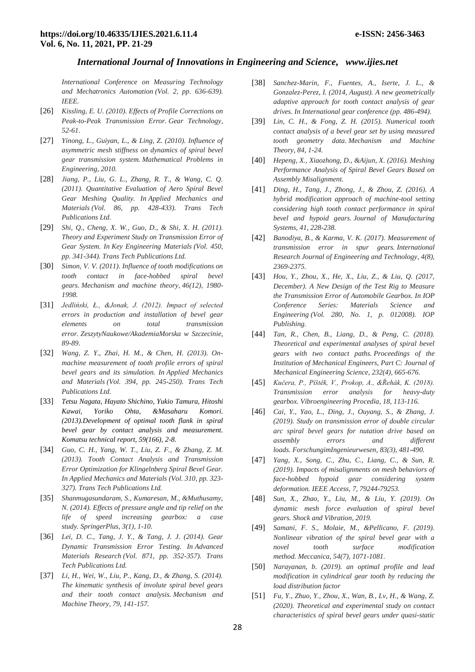*International Conference on Measuring Technology and Mechatronics Automation (Vol. 2, pp. 636-639). IEEE.*

- [26] *Kissling, E. U. (2010). Effects of Profile Corrections on Peak-to-Peak Transmission Error. Gear Technology, 52-61.*
- [27] *Yinong, L., Guiyan, L., & Ling, Z. (2010). Influence of asymmetric mesh stiffness on dynamics of spiral bevel gear transmission system. Mathematical Problems in Engineering, 2010.*
- [28] *Jiang, P., Liu, G. L., Zhang, R. T., & Wang, C. Q. (2011). Quantitative Evaluation of Aero Spiral Bevel Gear Meshing Quality. In Applied Mechanics and Materials (Vol. 86, pp. 428-433). Trans Tech Publications Ltd.*
- [29] *Shi, Q., Cheng, X. W., Guo, D., & Shi, X. H. (2011). Theory and Experiment Study on Transmission Error of Gear System. In Key Engineering Materials (Vol. 450, pp. 341-344). Trans Tech Publications Ltd.*
- [30] *Simon, V. V. (2011). Influence of tooth modifications on tooth contact in face-hobbed spiral bevel gears. Mechanism and machine theory, 46(12), 1980- 1998.*
- [31] *Jedliński, Ł., &Jonak, J. (2012). Impact of selected errors in production and installation of bevel gear elements on total transmission error. ZeszytyNaukowe/AkademiaMorska w Szczecinie, 89-89.*
- [32] *Wang, Z. Y., Zhai, H. M., & Chen, H. (2013). Onmachine measurement of tooth profile errors of spiral bevel gears and its simulation. In Applied Mechanics and Materials (Vol. 394, pp. 245-250). Trans Tech Publications Ltd.*
- [33] *Tetsu Nagata, Hayato Shichino, Yukio Tamura, Hitoshi Kawai, Yoriko Ohta, &Masaharu Komori. (2013).Development of optimal tooth flank in spiral bevel gear by contact analysis and measurement. Komatsu technical report, 59(166), 2-8.*
- [34] *Guo, C. H., Yang, W. T., Liu, Z. F., & Zhang, Z. M. (2013). Tooth Contact Analysis and Transmission Error Optimization for Klingelnberg Spiral Bevel Gear. In Applied Mechanics and Materials (Vol. 310, pp. 323- 327). Trans Tech Publications Ltd.*
- [35] *Shanmugasundaram, S., Kumaresan, M., &Muthusamy, N. (2014). Effects of pressure angle and tip relief on the life of speed increasing gearbox: a case study. SpringerPlus, 3(1), 1-10.*
- [36] *Lei, D. C., Tang, J. Y., & Tang, J. J. (2014). Gear Dynamic Transmission Error Testing. In Advanced Materials Research (Vol. 871, pp. 352-357). Trans Tech Publications Ltd.*
- [37] *Li, H., Wei, W., Liu, P., Kang, D., & Zhang, S. (2014). The kinematic synthesis of involute spiral bevel gears and their tooth contact analysis. Mechanism and Machine Theory, 79, 141-157.*
- [38] *Sanchez-Marin, F., Fuentes, A., Iserte, J. L., & Gonzalez-Perez, I. (2014, August). A new geometrically adaptive approach for tooth contact analysis of gear drives. In International gear conference (pp. 486-494).*
- [39] *Lin, C. H., & Fong, Z. H. (2015). Numerical tooth contact analysis of a bevel gear set by using measured tooth geometry data. Mechanism and Machine Theory, 84, 1-24.*
- [40] *Hepeng, X., Xiaozhong, D., &Aijun, X. (2016). Meshing Performance Analysis of Spiral Bevel Gears Based on Assembly Misalignment.*
- [41] *Ding, H., Tang, J., Zhong, J., & Zhou, Z. (2016). A hybrid modification approach of machine-tool setting considering high tooth contact performance in spiral bevel and hypoid gears. Journal of Manufacturing Systems, 41, 228-238.*
- [42] *Banodiya, B., & Karma, V. K. (2017). Measurement of transmission error in spur gears. International Research Journal of Engineering and Technology, 4(8), 2369-2375.*
- [43] *Hou, Y., Zhou, X., He, X., Liu, Z., & Liu, Q. (2017, December). A New Design of the Test Rig to Measure the Transmission Error of Automobile Gearbox. In IOP Conference Series: Materials Science and Engineering (Vol. 280, No. 1, p. 012008). IOP Publishing.*
- [44] *Tan, R., Chen, B., Liang, D., & Peng, C. (2018). Theoretical and experimental analyses of spiral bevel gears with two contact paths. Proceedings of the Institution of Mechanical Engineers, Part C: Journal of Mechanical Engineering Science, 232(4), 665-676.*
- [45] *Kučera, P., Píštěk, V., Prokop, A., &Řehák, K. (2018). Transmission error analysis for heavy-duty gearbox. Vibroengineering Procedia, 18, 113-116.*
- [46] *Cai, Y., Yao, L., Ding, J., Ouyang, S., & Zhang, J. (2019). Study on transmission error of double circular arc spiral bevel gears for nutation drive based on assembly errors and different loads. ForschungimIngenieurwesen, 83(3), 481-490.*
- [47] *Yang, X., Song, C., Zhu, C., Liang, C., & Sun, R. (2019). Impacts of misalignments on mesh behaviors of face-hobbed hypoid gear considering system deformation. IEEE Access, 7, 79244-79253.*
- [48] *Sun, X., Zhao, Y., Liu, M., & Liu, Y. (2019). On dynamic mesh force evaluation of spiral bevel gears. Shock and Vibration, 2019.*
- [49] *Samani, F. S., Molaie, M., &Pellicano, F. (2019). Nonlinear vibration of the spiral bevel gear with a novel tooth surface modification method. Meccanica, 54(7), 1071-1081.*
- [50] *Narayanan, b. (2019). an optimal profile and lead modification in cylindrical gear tooth by reducing the load distribution factor*
- [51] *Fu, Y., Zhuo, Y., Zhou, X., Wan, B., Lv, H., & Wang, Z. (2020). Theoretical and experimental study on contact characteristics of spiral bevel gears under quasi-static*